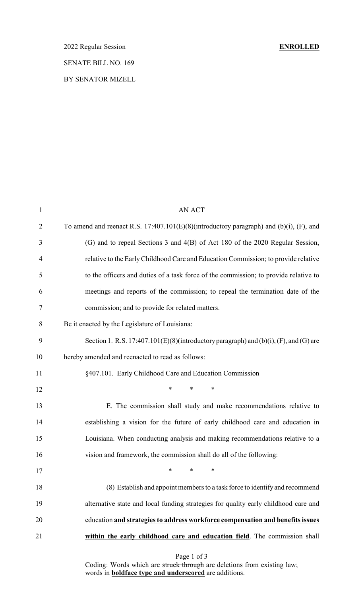2022 Regular Session **ENROLLED** SENATE BILL NO. 169

BY SENATOR MIZELL

| $\mathbf{1}$   | <b>AN ACT</b>                                                                              |
|----------------|--------------------------------------------------------------------------------------------|
| $\overline{2}$ | To amend and reenact R.S. $17:407.101(E)(8)$ (introductory paragraph) and (b)(i), (F), and |
| 3              | (G) and to repeal Sections 3 and 4(B) of Act 180 of the 2020 Regular Session,              |
| $\overline{4}$ | relative to the Early Childhood Care and Education Commission; to provide relative         |
| 5              | to the officers and duties of a task force of the commission; to provide relative to       |
| 6              | meetings and reports of the commission; to repeal the termination date of the              |
| 7              | commission; and to provide for related matters.                                            |
| 8              | Be it enacted by the Legislature of Louisiana:                                             |
| 9              | Section 1. R.S. $17:407.101(E)(8)$ (introductory paragraph) and (b)(i), (F), and (G) are   |
| 10             | hereby amended and reenacted to read as follows:                                           |
| 11             | §407.101. Early Childhood Care and Education Commission                                    |
| 12             | $\ast$<br>$\ast$<br>*                                                                      |
| 13             | E. The commission shall study and make recommendations relative to                         |
| 14             | establishing a vision for the future of early childhood care and education in              |
| 15             | Louisiana. When conducting analysis and making recommendations relative to a               |
| 16             | vision and framework, the commission shall do all of the following:                        |
| 17             | $\ast$<br>$\ast$<br>$\ast$                                                                 |
| 18             | (8) Establish and appoint members to a task force to identify and recommend                |
| 19             | alternative state and local funding strategies for quality early childhood care and        |
| 20             | education and strategies to address workforce compensation and benefits issues             |
| 21             | within the early childhood care and education field. The commission shall                  |
|                | Page 1 of 3                                                                                |

Coding: Words which are struck through are deletions from existing law; words in **boldface type and underscored** are additions.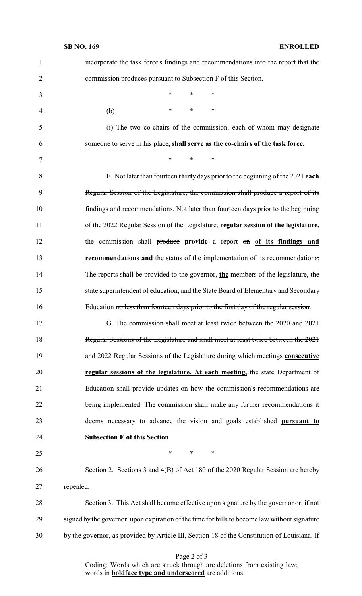| $\mathbf{1}$   | incorporate the task force's findings and recommendations into the report that the            |
|----------------|-----------------------------------------------------------------------------------------------|
| $\overline{2}$ | commission produces pursuant to Subsection F of this Section.                                 |
| 3              | $\ast$<br>$\ast$<br>$\ast$                                                                    |
| 4              | $\ast$<br>$\ast$<br>∗<br>(b)                                                                  |
| 5              | (i) The two co-chairs of the commission, each of whom may designate                           |
| 6              | someone to serve in his place, shall serve as the co-chairs of the task force.                |
| 7              | *<br>$\ast$<br>∗                                                                              |
| 8              | F. Not later than fourteen thirty days prior to the beginning of the $2021$ each              |
| 9              | Regular Session of the Legislature, the commission shall produce a report of its              |
| 10             | findings and recommendations. Not later than fourteen days prior to the beginning             |
| 11             | of the 2022 Regular Session of the Legislature, regular session of the legislature,           |
| 12             | the commission shall produce provide a report on of its findings and                          |
| 13             | <b>recommendations and</b> the status of the implementation of its recommendations.           |
| 14             | The reports shall be provided to the governor, the members of the legislature, the            |
| 15             | state superintendent of education, and the State Board of Elementary and Secondary            |
| 16             | Education no less than fourteen days prior to the first day of the regular session.           |
| 17             | G. The commission shall meet at least twice between the 2020 and 2021                         |
| 18             | Regular Sessions of the Legislature and shall meet at least twice between the 2021            |
| 19             | and 2022 Regular Sessions of the Legislature during which meetings consecutive                |
| 20             | regular sessions of the legislature. At each meeting, the state Department of                 |
| 21             | Education shall provide updates on how the commission's recommendations are                   |
| 22             | being implemented. The commission shall make any further recommendations it                   |
| 23             | deems necessary to advance the vision and goals established pursuant to                       |
| 24             | <b>Subsection E of this Section.</b>                                                          |
| 25             | $\ast$<br>$\ast$<br>$\ast$                                                                    |
| 26             | Section 2. Sections 3 and 4(B) of Act 180 of the 2020 Regular Session are hereby              |
| 27             | repealed.                                                                                     |
| 28             | Section 3. This Act shall become effective upon signature by the governor or, if not          |
| 29             | signed by the governor, upon expiration of the time for bills to become law without signature |
| 30             | by the governor, as provided by Article III, Section 18 of the Constitution of Louisiana. If  |

Page 2 of 3

Coding: Words which are struck through are deletions from existing law; words in **boldface type and underscored** are additions.